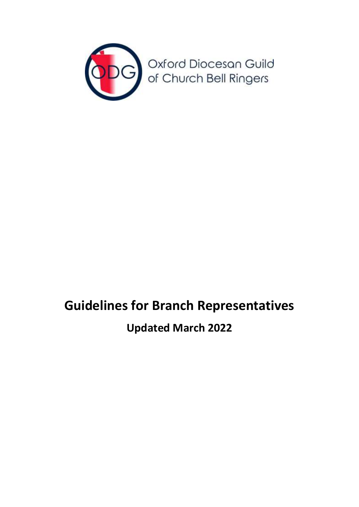

## **Guidelines for Branch Representatives**

## **Updated March 2022**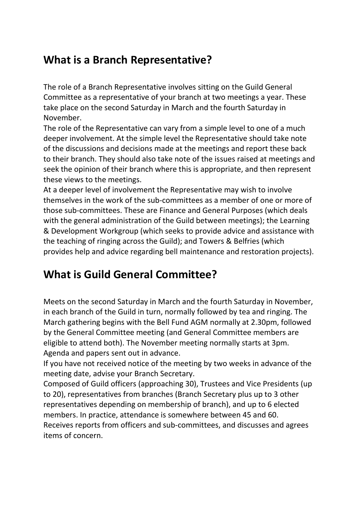## **What is a Branch Representative?**

The role of a Branch Representative involves sitting on the Guild General Committee as a representative of your branch at two meetings a year. These take place on the second Saturday in March and the fourth Saturday in November.

The role of the Representative can vary from a simple level to one of a much deeper involvement. At the simple level the Representative should take note of the discussions and decisions made at the meetings and report these back to their branch. They should also take note of the issues raised at meetings and seek the opinion of their branch where this is appropriate, and then represent these views to the meetings.

At a deeper level of involvement the Representative may wish to involve themselves in the work of the sub-committees as a member of one or more of those sub-committees. These are Finance and General Purposes (which deals with the general administration of the Guild between meetings); the Learning & Development Workgroup (which seeks to provide advice and assistance with the teaching of ringing across the Guild); and Towers & Belfries (which provides help and advice regarding bell maintenance and restoration projects).

## **What is Guild General Committee?**

Meets on the second Saturday in March and the fourth Saturday in November, in each branch of the Guild in turn, normally followed by tea and ringing. The March gathering begins with the Bell Fund AGM normally at 2.30pm, followed by the General Committee meeting (and General Committee members are eligible to attend both). The November meeting normally starts at 3pm. Agenda and papers sent out in advance.

If you have not received notice of the meeting by two weeks in advance of the meeting date, advise your Branch Secretary.

Composed of Guild officers (approaching 30), Trustees and Vice Presidents (up to 20), representatives from branches (Branch Secretary plus up to 3 other representatives depending on membership of branch), and up to 6 elected members. In practice, attendance is somewhere between 45 and 60. Receives reports from officers and sub-committees, and discusses and agrees items of concern.